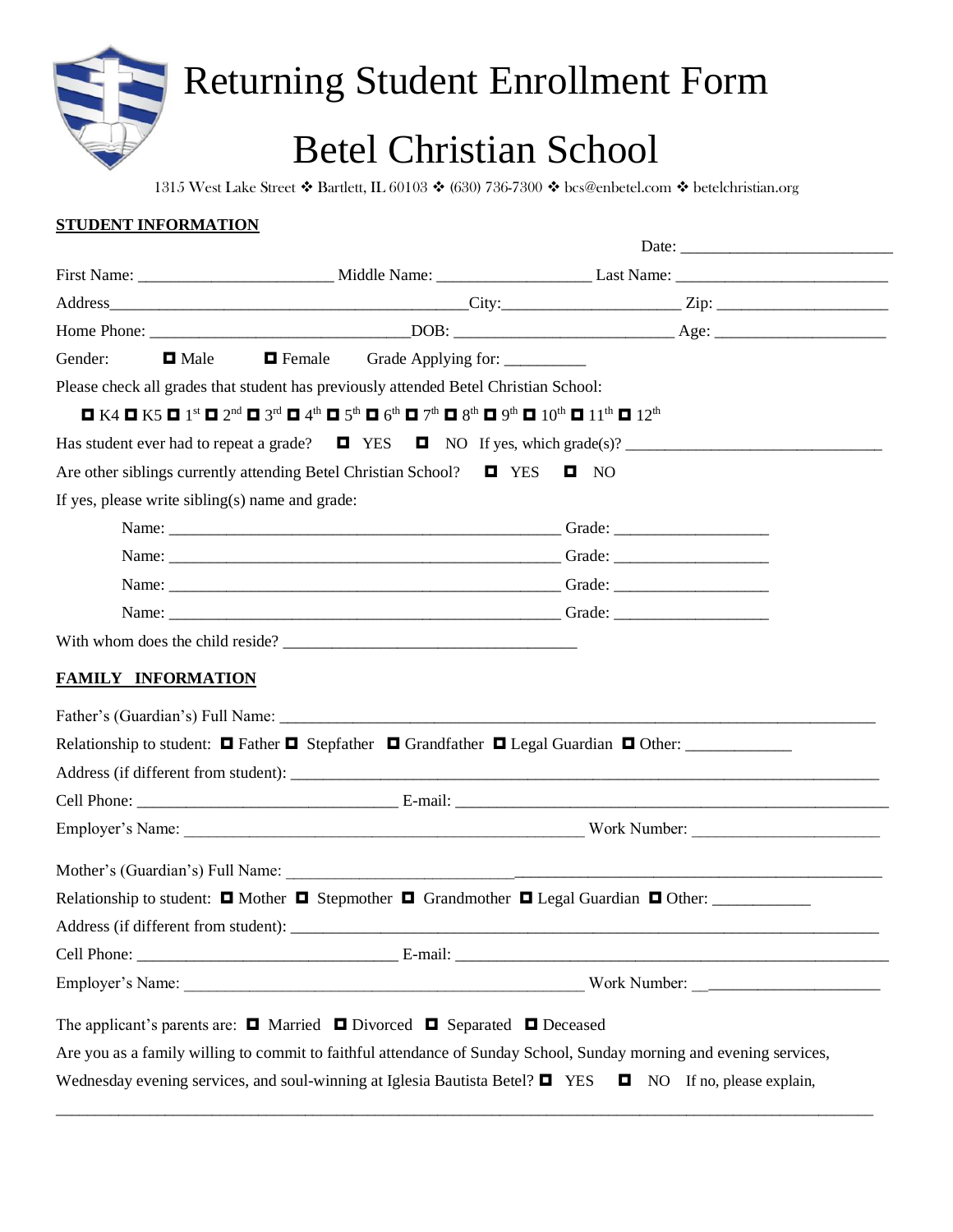## Returning Student Enrollment Form

## Betel Christian School

1315 West Lake Street ❖ Bartlett, IL 60103 ❖ (630) 736-7300 ❖ bcs@enbetel.com ❖ betelchristian.org

| STUDENT INFORMATION                                                                                                                                                                                                                                                                                                                                                                         |                                             |                                                                                                                                                                                                                               |
|---------------------------------------------------------------------------------------------------------------------------------------------------------------------------------------------------------------------------------------------------------------------------------------------------------------------------------------------------------------------------------------------|---------------------------------------------|-------------------------------------------------------------------------------------------------------------------------------------------------------------------------------------------------------------------------------|
|                                                                                                                                                                                                                                                                                                                                                                                             |                                             |                                                                                                                                                                                                                               |
|                                                                                                                                                                                                                                                                                                                                                                                             |                                             |                                                                                                                                                                                                                               |
|                                                                                                                                                                                                                                                                                                                                                                                             |                                             |                                                                                                                                                                                                                               |
|                                                                                                                                                                                                                                                                                                                                                                                             |                                             |                                                                                                                                                                                                                               |
| Gender:<br><b>□</b> Male                                                                                                                                                                                                                                                                                                                                                                    | <b>Example 5 Female</b> Grade Applying for: |                                                                                                                                                                                                                               |
| Please check all grades that student has previously attended Betel Christian School:                                                                                                                                                                                                                                                                                                        |                                             |                                                                                                                                                                                                                               |
| $\blacksquare$ K4 $\blacksquare$ K5 $\blacksquare$ 1 <sup>st</sup> $\blacksquare$ 2 <sup>nd</sup> $\blacksquare$ 3 <sup>rd</sup> $\blacksquare$ 4 <sup>th</sup> $\blacksquare$ 5 <sup>th</sup> $\blacksquare$ 6 <sup>th</sup> $\blacksquare$ 7 <sup>th</sup> $\blacksquare$ 9 <sup>th</sup> $\blacksquare$ 10 <sup>th</sup> $\blacksquare$ 11 <sup>th</sup> $\blacksquare$ 12 <sup>th</sup> |                                             |                                                                                                                                                                                                                               |
|                                                                                                                                                                                                                                                                                                                                                                                             |                                             | Has student ever had to repeat a grade? $\Box$ YES $\Box$ NO If yes, which grade(s)?                                                                                                                                          |
| Are other siblings currently attending Betel Christian School? $\Box$ YES $\Box$ NO                                                                                                                                                                                                                                                                                                         |                                             |                                                                                                                                                                                                                               |
| If yes, please write sibling(s) name and grade:                                                                                                                                                                                                                                                                                                                                             |                                             |                                                                                                                                                                                                                               |
|                                                                                                                                                                                                                                                                                                                                                                                             |                                             |                                                                                                                                                                                                                               |
|                                                                                                                                                                                                                                                                                                                                                                                             |                                             |                                                                                                                                                                                                                               |
|                                                                                                                                                                                                                                                                                                                                                                                             |                                             |                                                                                                                                                                                                                               |
|                                                                                                                                                                                                                                                                                                                                                                                             |                                             |                                                                                                                                                                                                                               |
|                                                                                                                                                                                                                                                                                                                                                                                             |                                             |                                                                                                                                                                                                                               |
| <b>FAMILY INFORMATION</b>                                                                                                                                                                                                                                                                                                                                                                   |                                             | Relationship to student: $\Box$ Father $\Box$ Stepfather $\Box$ Grandfather $\Box$ Legal Guardian $\Box$ Other:                                                                                                               |
|                                                                                                                                                                                                                                                                                                                                                                                             |                                             |                                                                                                                                                                                                                               |
|                                                                                                                                                                                                                                                                                                                                                                                             |                                             |                                                                                                                                                                                                                               |
|                                                                                                                                                                                                                                                                                                                                                                                             |                                             |                                                                                                                                                                                                                               |
|                                                                                                                                                                                                                                                                                                                                                                                             |                                             |                                                                                                                                                                                                                               |
|                                                                                                                                                                                                                                                                                                                                                                                             |                                             | Relationship to student: $\Box$ Mother $\Box$ Stepmother $\Box$ Grandmother $\Box$ Legal Guardian $\Box$ Other:                                                                                                               |
|                                                                                                                                                                                                                                                                                                                                                                                             |                                             |                                                                                                                                                                                                                               |
|                                                                                                                                                                                                                                                                                                                                                                                             |                                             |                                                                                                                                                                                                                               |
|                                                                                                                                                                                                                                                                                                                                                                                             |                                             | Employer's Name: Name: Name: North Philosophy & Number: North Number: Name: North Number: Name: North Number: Name: Name: North Number: Name: North Number: Name: Name: Name: Name: Name: Name: Name: Name: Name: Name: Name: |
|                                                                                                                                                                                                                                                                                                                                                                                             |                                             |                                                                                                                                                                                                                               |
| The applicant's parents are: $\Box$ Married $\Box$ Divorced $\Box$ Separated $\Box$ Deceased                                                                                                                                                                                                                                                                                                |                                             |                                                                                                                                                                                                                               |
|                                                                                                                                                                                                                                                                                                                                                                                             |                                             | Are you as a family willing to commit to faithful attendance of Sunday School, Sunday morning and evening services,                                                                                                           |
|                                                                                                                                                                                                                                                                                                                                                                                             |                                             | Wednesday evening services, and soul-winning at Iglesia Bautista Betel? $\Box$ YES $\Box$ NO If no, please explain,                                                                                                           |

\_\_\_\_\_\_\_\_\_\_\_\_\_\_\_\_\_\_\_\_\_\_\_\_\_\_\_\_\_\_\_\_\_\_\_\_\_\_\_\_\_\_\_\_\_\_\_\_\_\_\_\_\_\_\_\_\_\_\_\_\_\_\_\_\_\_\_\_\_\_\_\_\_\_\_\_\_\_\_\_\_\_\_\_\_\_\_\_\_\_\_\_\_\_\_\_\_\_\_\_\_\_\_\_\_